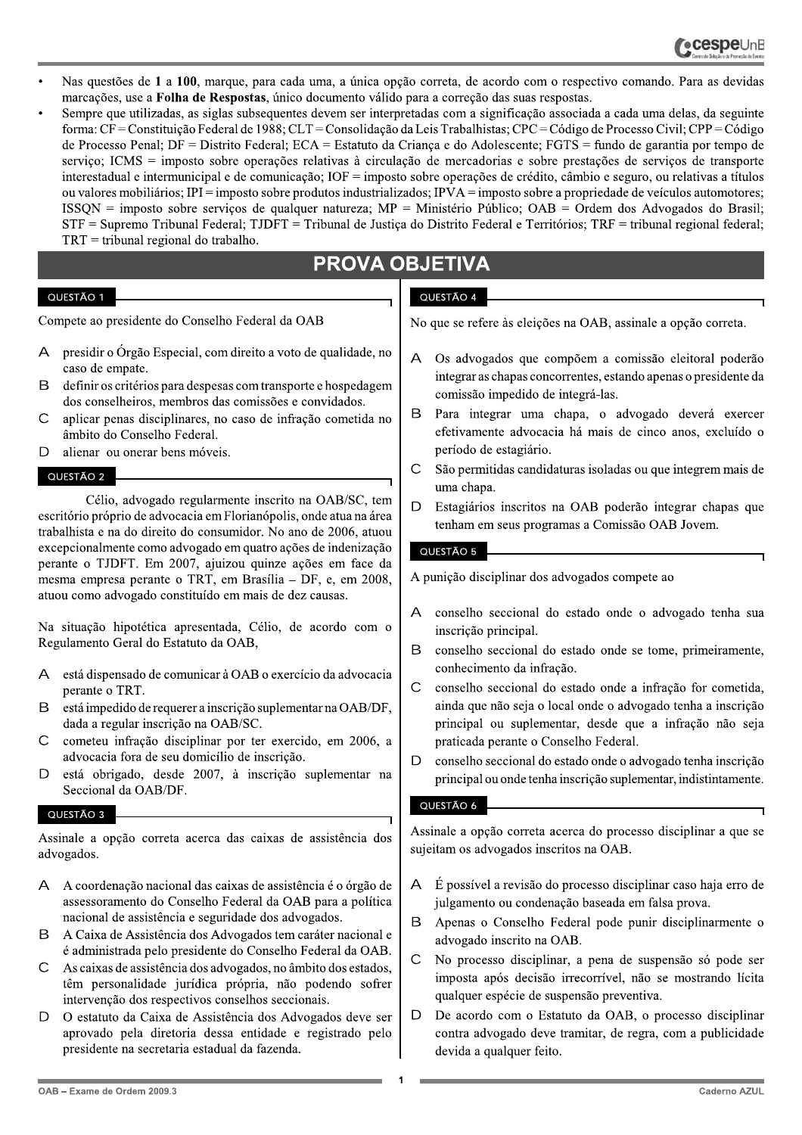- Nas questões de 1 a 100, marque, para cada uma, a única opção correta, de acordo com o respectivo comando. Para as devidas marcações, use a Folha de Respostas, único documento válido para a correção das suas respostas.
- Sempre que utilizadas, as siglas subsequentes devem ser interpretadas com a significação associada a cada uma delas, da seguinte forma: CF = Constituição Federal de 1988; CLT = Consolidação da Leis Trabalhistas; CPC = Código de Processo Civil; CPP = Código de Processo Penal; DF = Distrito Federal; ECA = Estatuto da Criança e do Adolescente; FGTS = fundo de garantia por tempo de serviço; ICMS = imposto sobre operações relativas à circulação de mercadorias e sobre prestações de serviços de transporte interestadual e intermunicipal e de comunicação; IOF = imposto sobre operações de crédito, câmbio e seguro, ou relativas a títulos ou valores mobiliários; IPI = imposto sobre produtos industrializados; IPVA = imposto sobre a propriedade de veículos automotores; ISSON = imposto sobre servicos de qualquer natureza:  $MP =$  Ministério Público;  $OAB =$  Ordem dos Advogados do Brasil; STF = Supremo Tribunal Federal; TJDFT = Tribunal de Justiça do Distrito Federal e Territórios; TRF = tribunal regional federal;  $TRT =$  tribunal regional do trabalho.

# **PROVA OBJETIVA**

# QUESTÃO 1

Compete ao presidente do Conselho Federal da OAB

- presidir o Órgão Especial, com direito a voto de qualidade, no caso de empate.
- B definir os critérios para despesas com transporte e hospedagem dos conselheiros, membros das comissões e convidados.
- $\overline{C}$ aplicar penas disciplinares, no caso de infração cometida no âmbito do Conselho Federal.
- alienar ou onerar bens móveis. D

# QUESTÃO 2

Célio, advogado regularmente inscrito na OAB/SC, tem escritório próprio de advocacia em Florianópolis, onde atua na área trabalhista e na do direito do consumidor. No ano de 2006, atuou excepcionalmente como advogado em quatro ações de indenização perante o TJDFT. Em 2007, ajuizou quinze ações em face da mesma empresa perante o TRT, em Brasília - DF, e, em 2008, atuou como advogado constituído em mais de dez causas.

Na situação hipotética apresentada, Célio, de acordo com o Regulamento Geral do Estatuto da OAB,

- A está dispensado de comunicar à OAB o exercício da advocacia perante o TRT.
- B está impedido de requerer a inscrição suplementar na OAB/DF, dada a regular inscrição na OAB/SC.
- cometeu infração disciplinar por ter exercido, em 2006, a C advocacia fora de seu domicílio de inscrição.
- $\overline{D}$ está obrigado, desde 2007, à inscrição suplementar na Seccional da OAB/DF.

# QUESTÃO 3

Assinale a opção correta acerca das caixas de assistência dos advogados.

- A coordenação nacional das caixas de assistência é o órgão de  $\Delta$ assessoramento do Conselho Federal da OAB para a política nacional de assistência e seguridade dos advogados.
- B A Caixa de Assistência dos Advogados tem caráter nacional e é administrada pelo presidente do Conselho Federal da OAB.
- $\mathsf{C}$ As caixas de assistência dos advogados, no âmbito dos estados, têm personalidade jurídica própria, não podendo sofrer intervenção dos respectivos conselhos seccionais.
- $\mathsf{D}$ O estatuto da Caixa de Assistência dos Advogados deve ser aprovado pela diretoria dessa entidade e registrado pelo presidente na secretaria estadual da fazenda.

# QUESTÃO 4

No que se refere às eleições na OAB, assinale a opção correta.

- Os advogados que compõem a comissão eleitoral poderão  $\triangleright$ integrar as chapas concorrentes, estando apenas o presidente da comissão impedido de integrá-las.
- B Para integrar uma chapa, o advogado deverá exercer efetivamente advocacia há mais de cinco anos, excluído o período de estagiário.
- $\overline{C}$ São permitidas candidaturas isoladas ou que integrem mais de uma chapa.
- D Estagiários inscritos na OAB poderão integrar chapas que tenham em seus programas a Comissão OAB Jovem.

# QUESTÃO 5

A punição disciplinar dos advogados compete ao

- conselho seccional do estado onde o advogado tenha sua  $\overline{A}$ inscrição principal.
- B conselho seccional do estado onde se tome, primeiramente, conhecimento da infração.
- $\mathsf{C}$ conselho seccional do estado onde a infração for cometida, ainda que não seja o local onde o advogado tenha a inscrição principal ou suplementar, desde que a infração não seja praticada perante o Conselho Federal.
- D conselho seccional do estado onde o advogado tenha inscrição principal ou onde tenha inscrição suplementar, indistintamente.

# QUESTÃO 6

Assinale a opção correta acerca do processo disciplinar a que se sujeitam os advogados inscritos na OAB.

- É possível a revisão do processo disciplinar caso haja erro de A julgamento ou condenação baseada em falsa prova.
- $\mathsf B$ Apenas o Conselho Federal pode punir disciplinarmente o advogado inscrito na OAB.
- $\mathsf{C}$ No processo disciplinar, a pena de suspensão só pode ser imposta após decisão irrecorrível, não se mostrando lícita qualquer espécie de suspensão preventiva.
- $\mathsf{D}$ De acordo com o Estatuto da OAB, o processo disciplinar contra advogado deve tramitar, de regra, com a publicidade devida a qualquer feito.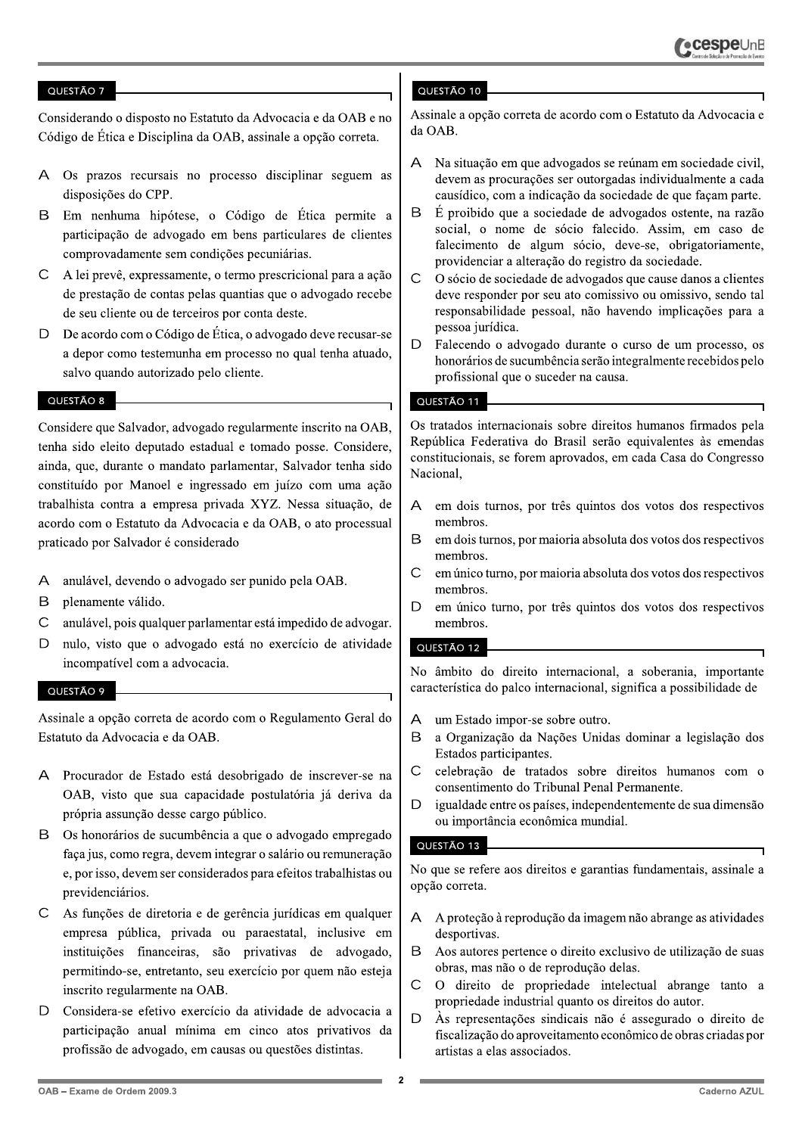Considerando o disposto no Estatuto da Advocacia e da OAB e no Código de Ética e Disciplina da OAB, assinale a opção correta.

- A Os prazos recursais no processo disciplinar seguem as disposições do CPP.
- $\mathsf B$ Em nenhuma hipótese, o Código de Ética permite a participação de advogado em bens particulares de clientes comprovadamente sem condições pecuniárias.
- $\mathsf{C}$ A lei prevê, expressamente, o termo prescricional para a ação de prestação de contas pelas quantias que o advogado recebe de seu cliente ou de terceiros por conta deste.
- $\mathsf{D}$ De acordo com o Código de Ética, o advogado deve recusar-se a depor como testemunha em processo no qual tenha atuado, salvo quando autorizado pelo cliente.

# QUESTÃO 8

Considere que Salvador, advogado regularmente inscrito na OAB, tenha sido eleito deputado estadual e tomado posse. Considere, ainda, que, durante o mandato parlamentar, Salvador tenha sido constituído por Manoel e ingressado em juízo com uma ação trabalhista contra a empresa privada XYZ. Nessa situação, de acordo com o Estatuto da Advocacia e da OAB, o ato processual praticado por Salvador é considerado

- A anulável, devendo o advogado ser punido pela OAB.
- B plenamente válido.
- $\mathsf{C}$ anulável, pois qualquer parlamentar está impedido de advogar.
- D nulo, visto que o advogado está no exercício de atividade incompatível com a advocacia.

#### QUESTÃO 9

Assinale a opção correta de acordo com o Regulamento Geral do Estatuto da Advocacia e da OAB.

- Procurador de Estado está desobrigado de inscrever-se na  $\overline{\mathsf{A}}$ OAB, visto que sua capacidade postulatória já deriva da própria assunção desse cargo público.
- $\mathsf{B}$ Os honorários de sucumbência a que o advogado empregado faça jus, como regra, devem integrar o salário ou remuneração e, por isso, devem ser considerados para efeitos trabalhistas ou previdenciários.
- As funções de diretoria e de gerência jurídicas em qualquer  $\subset$ empresa pública, privada ou paraestatal, inclusive em instituições financeiras, são privativas de advogado, permitindo-se, entretanto, seu exercício por quem não esteja inscrito regularmente na OAB.
- D Considera-se efetivo exercício da atividade de advocacia a participação anual mínima em cinco atos privativos da profissão de advogado, em causas ou questões distintas.

### QUESTÃO 10

Assinale a opção correta de acordo com o Estatuto da Advocacia e da OAB.

- Na situação em que advogados se reúnam em sociedade civil.  $\Delta$ devem as procurações ser outorgadas individualmente a cada causídico, com a indicação da sociedade de que façam parte.
- B É proibido que a sociedade de advogados ostente, na razão social, o nome de sócio falecido. Assim, em caso de falecimento de algum sócio, deve-se, obrigatoriamente, providenciar a alteração do registro da sociedade.
- $\overline{C}$ O sócio de sociedade de advogados que cause danos a clientes deve responder por seu ato comissivo ou omissivo, sendo tal responsabilidade pessoal, não havendo implicações para a pessoa jurídica.
- D Falecendo o advogado durante o curso de um processo, os honorários de sucumbência serão integralmente recebidos pelo profissional que o suceder na causa.

# QUESTÃO 11

Os tratados internacionais sobre direitos humanos firmados pela República Federativa do Brasil serão equivalentes às emendas constitucionais, se forem aprovados, em cada Casa do Congresso Nacional.

- $\mathsf{A}$ em dois turnos, por três quintos dos votos dos respectivos membros.
- B em dois turnos, por maioria absoluta dos votos dos respectivos membros.
- $\overline{C}$ em único turno, por maioria absoluta dos votos dos respectivos membros.
- D em único turno, por três quintos dos votos dos respectivos membros.

### QUESTÃO 12

No âmbito do direito internacional, a soberania, importante característica do palco internacional, significa a possibilidade de

- $\mathsf{A}$ um Estado impor-se sobre outro.
- B a Organização da Nações Unidas dominar a legislação dos Estados participantes.
- $\mathsf{C}$ celebração de tratados sobre direitos humanos com o consentimento do Tribunal Penal Permanente.
- $\overline{D}$ igualdade entre os países, independentemente de sua dimensão ou importância econômica mundial.

### QUESTÃO 13

No que se refere aos direitos e garantias fundamentais, assinale a opcão correta.

- $\mathsf{A}$ A proteção à reprodução da imagem não abrange as atividades desportivas.
- Aos autores pertence o direito exclusivo de utilização de suas  $\mathsf B$ obras, mas não o de reprodução delas.
- $\overline{C}$ O direito de propriedade intelectual abrange tanto a propriedade industrial quanto os direitos do autor.
- Às representações sindicais não é assegurado o direito de D fiscalização do aproveitamento econômico de obras criadas por artistas a elas associados.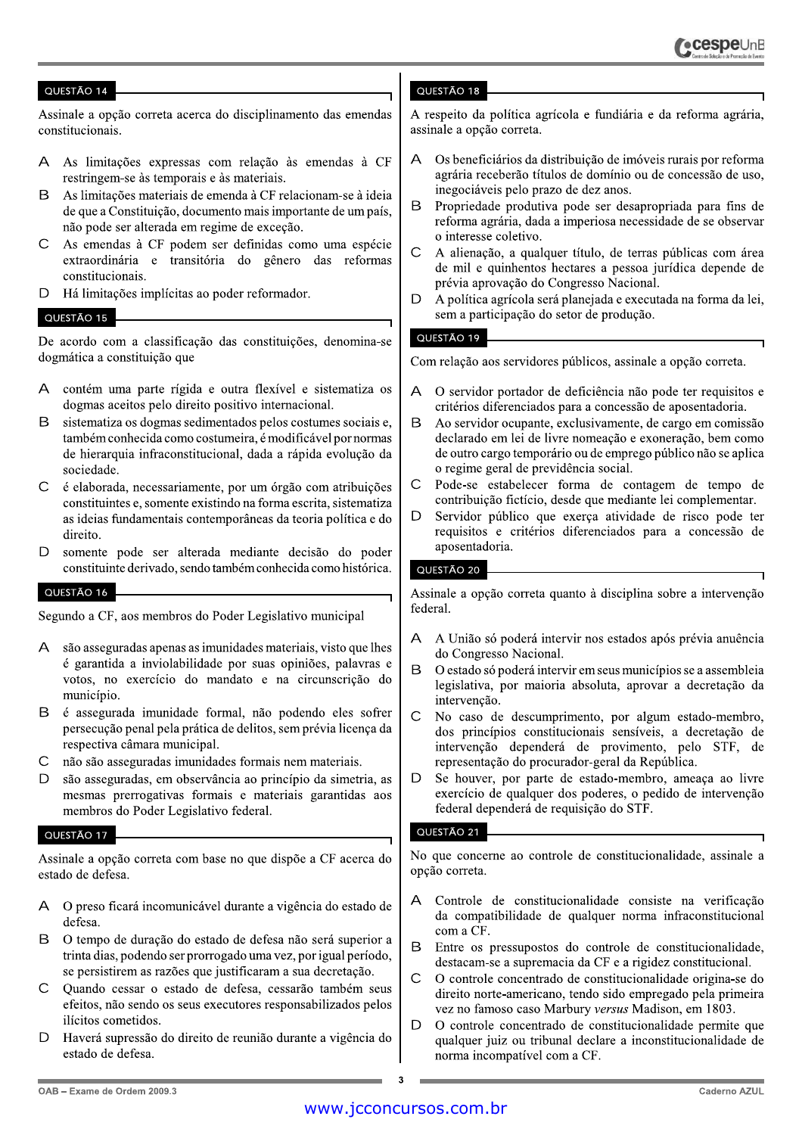Assinale a opção correta acerca do disciplinamento das emendas constitucionais.

- As limitações expressas com relação às emendas à CF  $\Delta$ restringem-se às temporais e às materiais.
- $\mathsf B$ As limitações materiais de emenda à CF relacionam-se à ideia de que a Constituição, documento mais importante de um país, não pode ser alterada em regime de exceção.
- As emendas à CF podem ser definidas como uma espécie  $\mathsf{C}$ extraordinária e transitória do gênero das reformas constitucionais.
- D Há limitações implícitas ao poder reformador.

#### QUESTÃO 15

De acordo com a classificação das constituições, denomina-se dogmática a constituição que

- A contém uma parte rígida e outra flexível e sistematiza os dogmas aceitos pelo direito positivo internacional.
- $\overline{B}$ sistematiza os dogmas sedimentados pelos costumes sociais e, também conhecida como costumeira, é modificável por normas de hierarquia infraconstitucional, dada a rápida evolução da sociedade.
- $\mathsf{C}$ é elaborada, necessariamente, por um órgão com atribuições constituintes e, somente existindo na forma escrita, sistematiza as ideias fundamentais contemporâneas da teoria política e do direito.
- $\mathsf{D}$ somente pode ser alterada mediante decisão do poder constituinte derivado, sendo também conhecida como histórica.

# QUESTÃO 16

Segundo a CF, aos membros do Poder Legislativo municipal

- $\Delta$ são asseguradas apenas as imunidades materiais, visto que lhes é garantida a inviolabilidade por suas opiniões, palavras e votos, no exercício do mandato e na circunscrição do município.
- B é assegurada imunidade formal, não podendo eles sofrer persecução penal pela prática de delitos, sem prévia licença da respectiva câmara municipal.
- $\mathsf{C}$ não são asseguradas imunidades formais nem materiais.
- $\mathsf{D}$ são asseguradas, em observância ao princípio da simetria, as mesmas prerrogativas formais e materiais garantidas aos membros do Poder Legislativo federal.

#### QUESTÃO 17

Assinale a opção correta com base no que dispõe a CF acerca do estado de defesa.

- A O preso ficará incomunicável durante a vigência do estado de defesa.
- B. O tempo de duração do estado de defesa não será superior a trinta dias, podendo ser prorrogado uma vez, por igual período, se persistirem as razões que justificaram a sua decretação.
- $\cap$ Quando cessar o estado de defesa, cessarão também seus efeitos, não sendo os seus executores responsabilizados pelos ilícitos cometidos.
- D Haverá supressão do direito de reunião durante a vigência do estado de defesa.

# QUESTÃO 18

A respeito da política agrícola e fundiária e da reforma agrária. assinale a opção correta.

- Os beneficiários da distribuição de imóveis rurais por reforma  $\overline{A}$ agrária receberão títulos de domínio ou de concessão de uso, inegociáveis pelo prazo de dez anos.
- <sub>R</sub> Propriedade produtiva pode ser desapropriada para fins de reforma agrária, dada a imperiosa necessidade de se observar o interesse coletivo.
- $\mathsf{C}$ A alienação, a qualquer título, de terras públicas com área de mil e quinhentos hectares a pessoa jurídica depende de prévia aprovação do Congresso Nacional.
- D A política agrícola será planejada e executada na forma da lei. sem a participação do setor de produção.

# QUESTÃO 19

Com relação aos servidores públicos, assinale a opção correta.

- O servidor portador de deficiência não pode ter requisitos e  $\overline{A}$ critérios diferenciados para a concessão de aposentadoria.
- <sub>R</sub> Ao servidor ocupante, exclusivamente, de cargo em comissão declarado em lei de livre nomeação e exoneração, bem como de outro cargo temporário ou de emprego público não se aplica o regime geral de previdência social.
- $\overline{C}$ Pode-se estabelecer forma de contagem de tempo de contribuição fictício, desde que mediante lei complementar.
- D Servidor público que exerça atividade de risco pode ter requisitos e critérios diferenciados para a concessão de aposentadoria.

# QUESTÃO 20

Assinale a opção correta quanto à disciplina sobre a intervenção federal.

- A União só poderá intervir nos estados após prévia anuência А do Congresso Nacional.
- B O estado só poderá intervir em seus municípios se a assembleia legislativa, por maioria absoluta, aprovar a decretação da intervenção.
- $\mathsf{C}$ No caso de descumprimento, por algum estado-membro, dos princípios constitucionais sensíveis, a decretação de intervenção dependerá de provimento, pelo STF, de representação do procurador-geral da República.
- D Se houver, por parte de estado-membro, ameaca ao livre exercício de qualquer dos poderes, o pedido de intervenção federal dependerá de requisição do STF.

# QUESTÃO 21

No que concerne ao controle de constitucionalidade, assinale a opção correta.

- Controle de constitucionalidade consiste na verificação  $\Delta$ da compatibilidade de qualquer norma infraconstitucional com a CF.
- B Entre os pressupostos do controle de constitucionalidade, destacam-se a supremacia da CF e a rigidez constitucional.
- $\mathsf{C}$ O controle concentrado de constitucionalidade origina-se do direito norte-americano, tendo sido empregado pela primeira vez no famoso caso Marbury versus Madison, em 1803.
- D O controle concentrado de constitucionalidade permite que qualquer juiz ou tribunal declare a inconstitucionalidade de norma incompatível com a CF.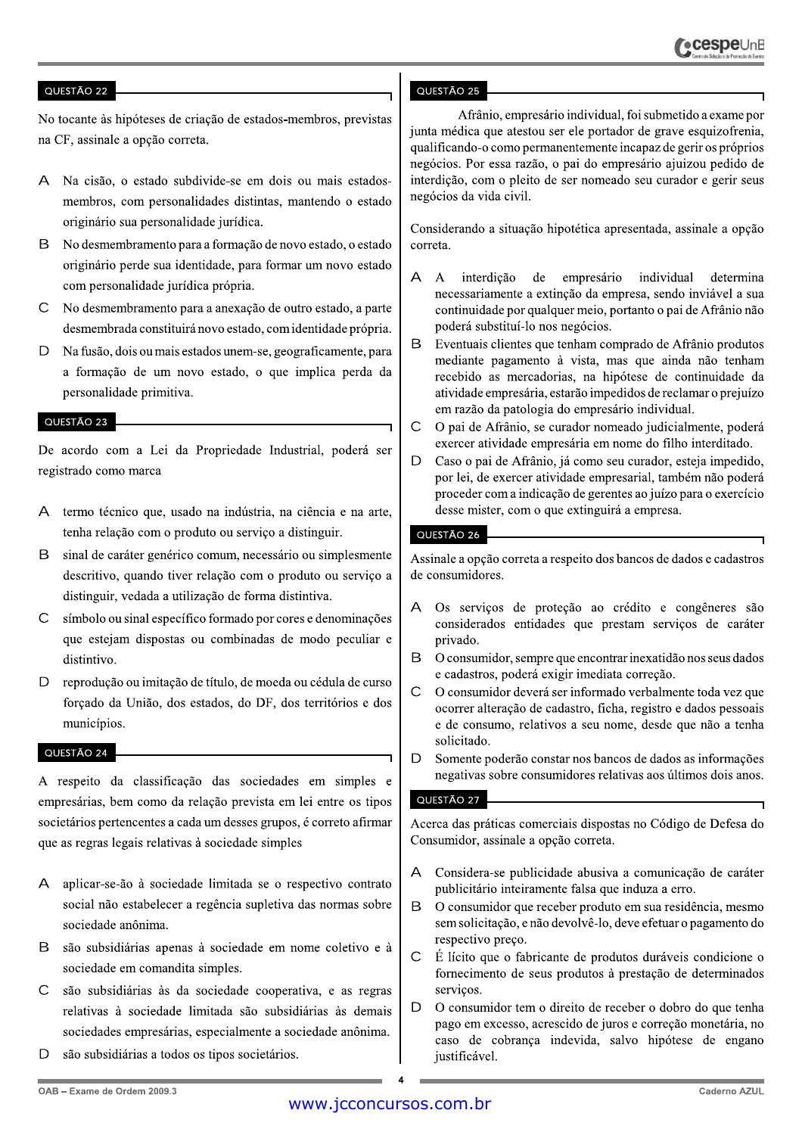No tocante às hipóteses de criação de estados-membros, previstas na CF, assinale a opção correta.

- А Na cisão, o estado subdivide-se em dois ou mais estadosmembros, com personalidades distintas, mantendo o estado originário sua personalidade jurídica.
- <sub>B</sub> No desmembramento para a formação de novo estado, o estado originário perde sua identidade, para formar um novo estado com personalidade jurídica própria.
- $\subset$ No desmembramento para a anexação de outro estado, a parte desmembrada constituirá novo estado, com identidade própria.
- Na fusão, dois ou mais estados unem-se, geograficamente, para D a formação de um novo estado, o que implica perda da personalidade primitiva.

#### QUESTÃO 23

De acordo com a Lei da Propriedade Industrial, poderá ser registrado como marca

- $\overline{A}$ termo técnico que, usado na indústria, na ciência e na arte, tenha relação com o produto ou serviço a distinguir.
- B sinal de caráter genérico comum, necessário ou simplesmente descritivo, quando tiver relação com o produto ou serviço a distinguir, vedada a utilização de forma distintiva.
- C símbolo ou sinal específico formado por cores e denominações que estejam dispostas ou combinadas de modo peculiar e distintivo.
- D reprodução ou imitação de título, de moeda ou cédula de curso forçado da União, dos estados, do DF, dos territórios e dos municípios.

#### QUESTÃO 24

A respeito da classificação das sociedades em simples e empresárias, bem como da relação prevista em lei entre os tipos societários pertencentes a cada um desses grupos, é correto afirmar que as regras legais relativas à sociedade simples

- A aplicar-se-ão à sociedade limitada se o respectivo contrato social não estabelecer a regência supletiva das normas sobre sociedade anônima.
- são subsidiárias apenas à sociedade em nome coletivo e à  $\mathsf{R}$ sociedade em comandita simples.
- $\mathsf{C}$ são subsidiárias às da sociedade cooperativa, e as regras relativas à sociedade limitada são subsidiárias às demais sociedades empresárias, especialmente a sociedade anônima.
- D são subsidiárias a todos os tipos societários.

### QUESTÃO 25

Afrânio, empresário individual, foi submetido a exame por junta médica que atestou ser ele portador de grave esquizofrenia, qualificando-o como permanentemente incapaz de gerir os próprios negócios. Por essa razão, o pai do empresário ajuizou pedido de interdição, com o pleito de ser nomeado seu curador e gerir seus negócios da vida civil.

Considerando a situação hipotética apresentada, assinale a opção correta.

- $\mathsf{A}$  $\Delta$ interdicão de empresário individual determina necessariamente a extinção da empresa, sendo inviável a sua continuidade por qualquer meio, portanto o pai de Afrânio não poderá substituí-lo nos negócios.
- B Eventuais clientes que tenham comprado de Afrânio produtos mediante pagamento à vista, mas que ainda não tenham recebido as mercadorias, na hipótese de continuidade da atividade empresária, estarão impedidos de reclamar o prejuízo em razão da patologia do empresário individual.
- $\mathsf{C}$ O pai de Afrânio, se curador nomeado judicialmente, poderá exercer atividade empresária em nome do filho interditado.
- Caso o pai de Afrânio, já como seu curador, esteja impedido, D por lei, de exercer atividade empresarial, também não poderá proceder com a indicação de gerentes ao juízo para o exercício desse mister, com o que extinguirá a empresa.

#### QUESTÃO 26

Assinale a opção correta a respeito dos bancos de dados e cadastros de consumidores.

- Os serviços de proteção ao crédito e congêneres são  $\triangleright$ considerados entidades que prestam serviços de caráter privado.
- B O consumidor, sempre que encontrar inexatidão nos seus dados e cadastros, poderá exigir imediata correção.
- $\mathsf{C}$ O consumidor deverá ser informado verbalmente toda vez que ocorrer alteração de cadastro, ficha, registro e dados pessoais e de consumo, relativos a seu nome, desde que não a tenha solicitado.
- $\mathsf{D}$ Somente poderão constar nos bancos de dados as informações negativas sobre consumidores relativas aos últimos dois anos.

# QUESTÃO 27

Acerca das práticas comerciais dispostas no Código de Defesa do Consumidor, assinale a opção correta.

- A Considera-se publicidade abusiva a comunicação de caráter publicitário inteiramente falsa que induza a erro.
- $\mathsf B$ O consumidor que receber produto em sua residência, mesmo sem solicitação, e não devolvê-lo, deve efetuar o pagamento do respectivo preço.
- $\mathsf{C}$ É lícito que o fabricante de produtos duráveis condicione o fornecimento de seus produtos à prestação de determinados serviços.
- D. O consumidor tem o direito de receber o dobro do que tenha pago em excesso, acrescido de juros e correção monetária, no caso de cobrança indevida, salvo hipótese de engano justificável.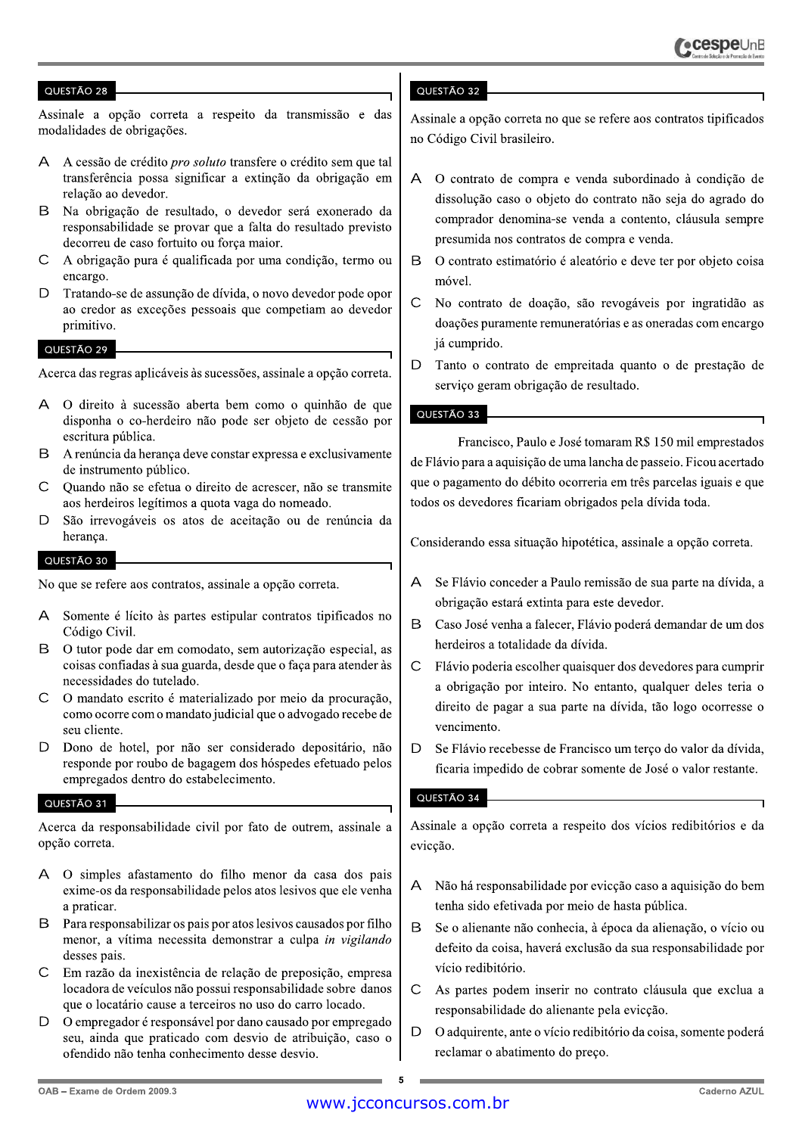Assinale a opção correta a respeito da transmissão e das modalidades de obrigações.

- $\Delta$ A cessão de crédito *pro soluto* transfere o crédito sem que tal transferência possa significar a extinção da obrigação em relação ao devedor.
- B Na obrigação de resultado, o devedor será exonerado da responsabilidade se provar que a falta do resultado previsto decorreu de caso fortuito ou força maior.
- $\mathsf{C}$ A obrigação pura é qualificada por uma condição, termo ou encargo.
- $\mathsf{D}$ Tratando-se de assunção de dívida, o novo devedor pode opor ao credor as exceções pessoais que competiam ao devedor primitivo.

# QUESTÃO 29

Acerca das regras aplicáveis às sucessões, assinale a opção correta.

- O direito à sucessão aberta bem como o quinhão de que A disponha o co-herdeiro não pode ser objeto de cessão por escritura pública.
- B A renúncia da heranca deve constar expressa e exclusivamente de instrumento público.
- $\mathsf{C}$ Quando não se efetua o direito de acrescer, não se transmite aos herdeiros legítimos a quota vaga do nomeado.
- $\mathsf{D}$ São irrevogáveis os atos de aceitação ou de renúncia da herança.

#### QUESTÃO 30

No que se refere aos contratos, assinale a opção correta.

- $\Delta$ Somente é lícito às partes estipular contratos tipificados no Código Civil.
- $\mathsf B$ O tutor pode dar em comodato, sem autorização especial, as coisas confiadas à sua guarda, desde que o faça para atender às necessidades do tutelado.
- $\mathcal{C}$ O mandato escrito é materializado por meio da procuração, como ocorre com o mandato judicial que o advogado recebe de seu cliente.
- $\mathsf{D}$ Dono de hotel, por não ser considerado depositário, não responde por roubo de bagagem dos hóspedes efetuado pelos empregados dentro do estabelecimento.

### QUESTÃO 31

Acerca da responsabilidade civil por fato de outrem, assinale a opção correta.

- O simples afastamento do filho menor da casa dos pais A exime-os da responsabilidade pelos atos lesivos que ele venha a praticar.
- Para responsabilizar os pais por atos lesivos causados por filho B menor, a vítima necessita demonstrar a culpa in vigilando desses pais.
- $\overline{C}$ Em razão da inexistência de relação de preposição, empresa locadora de veículos não possui responsabilidade sobre danos que o locatário cause a terceiros no uso do carro locado.
- D O empregador é responsável por dano causado por empregado seu, ainda que praticado com desvio de atribuição, caso o ofendido não tenha conhecimento desse desvio.

### QUESTÃO 32

Assinale a opção correta no que se refere aos contratos tipificados no Código Civil brasileiro.

- O contrato de compra e venda subordinado à condição de  $\mathsf{A}$ dissolução caso o objeto do contrato não seja do agrado do comprador denomina-se venda a contento, cláusula sempre presumida nos contratos de compra e venda.
- B O contrato estimatório é aleatório e deve ter por objeto coisa móvel.
- $\mathsf{C}$ No contrato de doação, são revogáveis por ingratidão as doações puramente remuneratórias e as oneradas com encargo já cumprido.
- D Tanto o contrato de empreitada quanto o de prestação de serviço geram obrigação de resultado.

#### QUESTÃO 33

Francisco, Paulo e José tomaram R\$ 150 mil emprestados de Flávio para a aquisição de uma lancha de passeio. Ficou acertado que o pagamento do débito ocorreria em três parcelas iguais e que todos os devedores ficariam obrigados pela dívida toda.

Considerando essa situação hipotética, assinale a opção correta.

- A Se Flávio conceder a Paulo remissão de sua parte na dívida, a obrigação estará extinta para este devedor.
- B Caso José venha a falecer, Flávio poderá demandar de um dos herdeiros a totalidade da dívida.
- $\mathsf{C}$ Flávio poderia escolher quaisquer dos devedores para cumprir a obrigação por inteiro. No entanto, qualquer deles teria o direito de pagar a sua parte na dívida, tão logo ocorresse o vencimento.
- D. Se Flávio recebesse de Francisco um terço do valor da dívida, ficaria impedido de cobrar somente de José o valor restante.

# QUESTÃO 34

Assinale a opção correta a respeito dos vícios redibitórios e da evicção.

- Não há responsabilidade por evicção caso a aquisição do bem  $\mathsf{A}$ tenha sido efetivada por meio de hasta pública.
- B Se o alienante não conhecia, à época da alienação, o vício ou defeito da coisa, haverá exclusão da sua responsabilidade por vício redibitório.
- $\mathsf{C}$ As partes podem inserir no contrato cláusula que exclua a responsabilidade do alienante pela evicção.
- D O adquirente, ante o vício redibitório da coisa, somente poderá reclamar o abatimento do preço.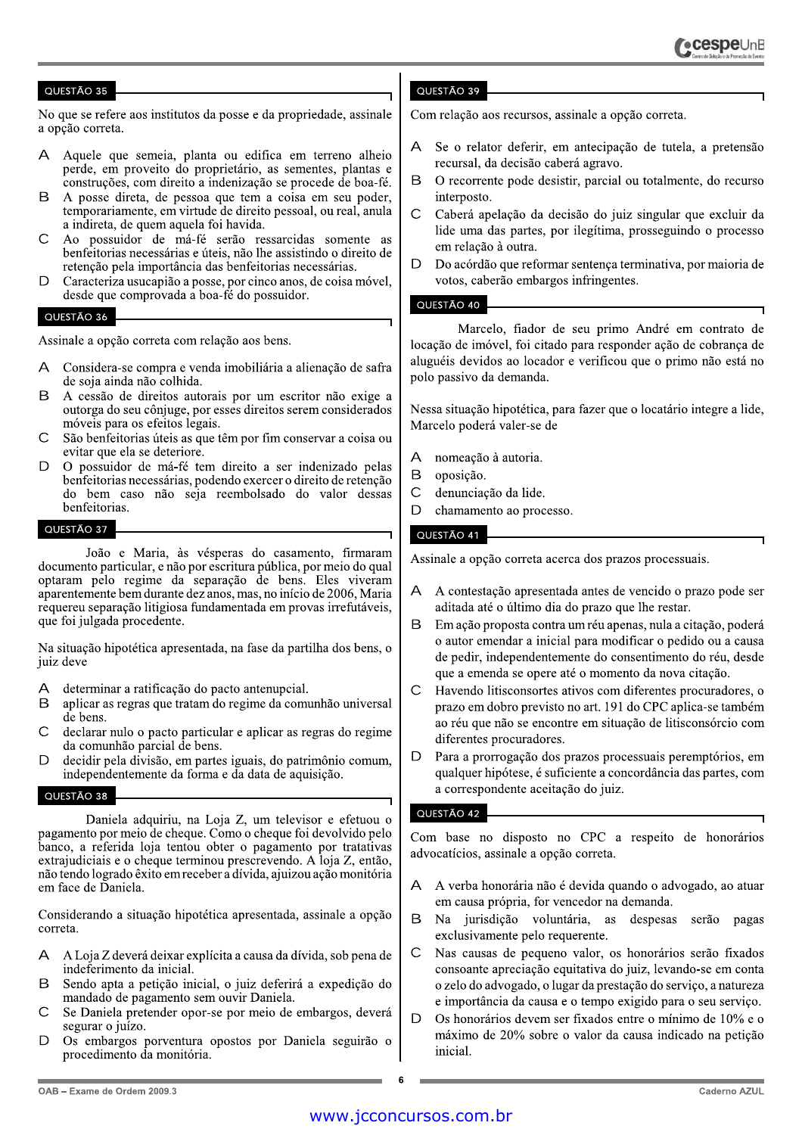No que se refere aos institutos da posse e da propriedade, assinale a opção correta.

- Aquele que semeia, planta ou edifica em terreno alheio perde, em proveito do proprietário, as sementes, plantas e construções, com direito a indenização se procede de boa-fé.
- <sub>R</sub> A posse direta, de pessoa que tem a coisa em seu poder, temporariamente, em virtude de direito pessoal, ou real, anula a indireta, de quem aquela foi havida.
- $\cap$ Ao possuidor de má-fé serão ressarcidas somente as benfeitorias necessárias e úteis, não lhe assistindo o direito de retenção pela importância das benfeitorias necessárias.
- Caracteriza usucapião a posse, por cinco anos, de coisa móvel,  $\Gamma$ desde que comprovada a boa-fé do possuidor.

#### QUESTÃO 36

Assinale a opção correta com relação aos bens.

- $\Delta$ Considera-se compra e venda imobiliária a alienação de safra de soja ainda não colhida.
- A cessão de direitos autorais por um escritor não exige a R outorga do seu cônjuge, por esses direitos serem considerados móveis para os efeitos legais.
- $\mathsf{C}$ São benfeitorias úteis as que têm por fim conservar a coisa ou evitar que ela se deteriore.
- D O possuidor de má-fé tem direito a ser indenizado pelas benfeitorias necessárias, podendo exercer o direito de retenção do bem caso não seja reembolsado do valor dessas benfeitorias.

#### QUESTÃO 37

João e Maria, às vésperas do casamento, firmaram documento particular, e não por escritura pública, por meio do qual optaram pelo regime da separação de bens. Eles viveram aparentemente bem durante dez anos, mas, no início de 2006, Maria requereu separação litigiosa fundamentada em provas irrefutáveis, que foi julgada procedente.

Na situação hipotética apresentada, na fase da partilha dos bens, o juiz deve

- determinar a ratificação do pacto antenupcial. A
- B aplicar as regras que tratam do regime da comunhão universal de bens.
- $\bigcap$ declarar nulo o pacto particular e aplicar as regras do regime da comunhão parcial de bens.
- D decidir pela divisão, em partes iguais, do patrimônio comum, independentemente da forma e da data de aquisição.

# QUESTÃO 38

Daniela adquiriu, na Loja Z, um televisor e efetuou o pagamento por meio de cheque. Como o cheque foi devolvido pelo banco, a referida loja tentou obter o pagamento por tratativas extrajudiciais e o cheque terminou prescrevendo. A loja Z, então, não tendo logrado êxito em receber a dívida, ajuizou ação monitória em face de Daniela.

Considerando a situação hipotética apresentada, assinale a opção correta.

- A Loja Z deverá deixar explícita a causa da dívida, sob pena de  $\Delta$ indeferimento da inicial.
- Sendo apta a peticão inicial, o juiz deferirá a expedição do B mandado de pagamento sem ouvir Daniela.
- $\overline{C}$ Se Daniela pretender opor-se por meio de embargos, deverá segurar o juízo.
- $\Box$ Os embargos porventura opostos por Daniela seguirão o procedimento da monitória.

# QUESTÃO 39

Com relação aos recursos, assinale a opção correta.

- Se o relator deferir, em antecipação de tutela, a pretensão recursal, da decisão caberá agravo.
- B O recorrente pode desistir, parcial ou totalmente, do recurso interposto.
- $\mathsf{C}$ Caberá apelação da decisão do juiz singular que excluir da lide uma das partes, por ilegítima, prosseguindo o processo em relação à outra.
- $\mathsf{D}$ Do acórdão que reformar sentença terminativa, por maioria de votos, caberão embargos infringentes.

# QUESTÃO 40

Marcelo, fiador de seu primo André em contrato de locação de imóvel, foi citado para responder ação de cobrança de aluguéis devidos ao locador e verificou que o primo não está no polo passivo da demanda.

Nessa situação hipotética, para fazer que o locatário integre a lide, Marcelo poderá valer-se de

- nomeação à autoria.  $\triangleright$
- $\overline{B}$ oposição.
- $\mathsf C$ denunciação da lide.
- $\mathsf{D}$ chamamento ao processo.

# QUESTÃO 41

Assinale a opção correta acerca dos prazos processuais.

- A contestação apresentada antes de vencido o prazo pode ser  $\mathsf{A}$ aditada até o último dia do prazo que lhe restar.
- Em ação proposta contra um réu apenas, nula a citação, poderá  $\overline{B}$ o autor emendar a inicial para modificar o pedido ou a causa de pedir, independentemente do consentimento do réu, desde que a emenda se opere até o momento da nova citação.
- $\overline{C}$ Havendo litisconsortes ativos com diferentes procuradores, o prazo em dobro previsto no art. 191 do CPC aplica-se também ao réu que não se encontre em situação de litisconsórcio com diferentes procuradores.
- D Para a prorrogação dos prazos processuais peremptórios, em qualquer hipótese, é suficiente a concordância das partes, com a correspondente aceitação do juiz.

# QUESTÃO 42

Com base no disposto no CPC a respeito de honorários advocatícios, assinale a opção correta.

- A verba honorária não é devida quando o advogado, ao atuar  $\Delta$ em causa própria, for vencedor na demanda.
- B Na jurisdição voluntária, as despesas serão pagas exclusivamente pelo requerente.
- $\mathsf{C}$ Nas causas de pequeno valor, os honorários serão fixados consoante apreciação equitativa do juiz, levando-se em conta o zelo do advogado, o lugar da prestação do serviço, a natureza e importância da causa e o tempo exigido para o seu serviço.
- D Os honorários devem ser fixados entre o mínimo de 10% e o máximo de 20% sobre o valor da causa indicado na petição inicial.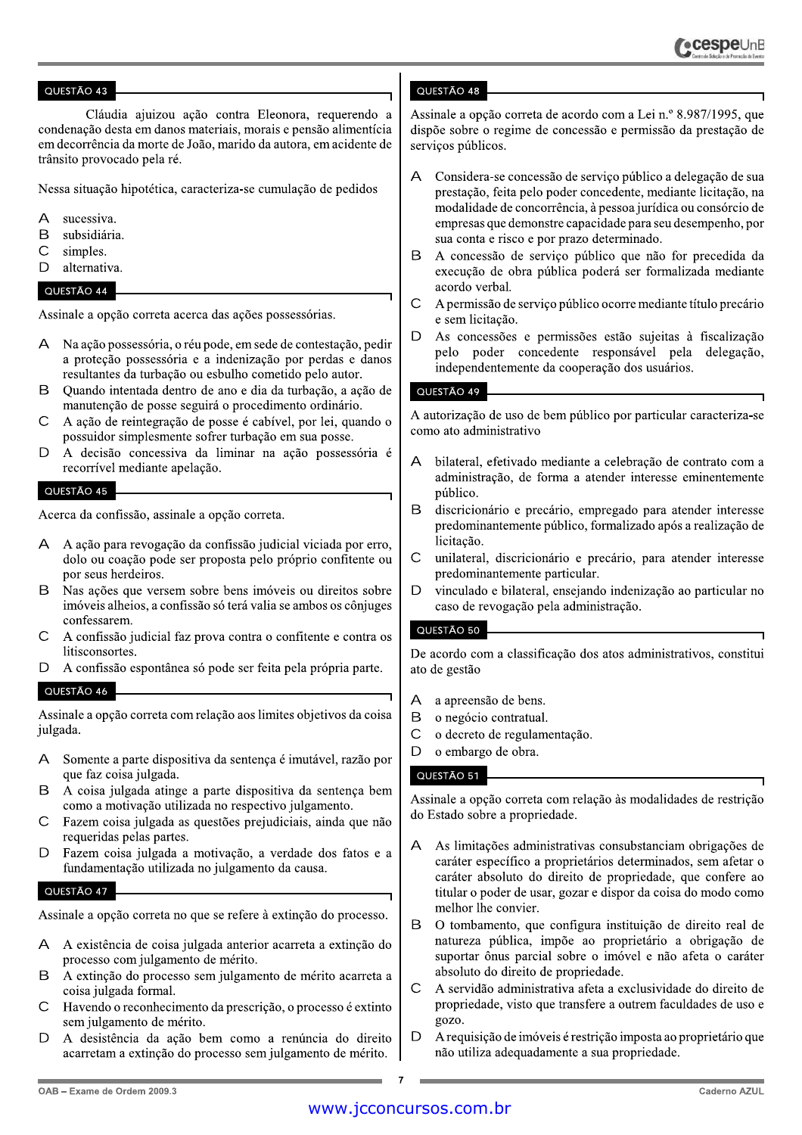Cláudia ajuizou ação contra Eleonora, requerendo a condenação desta em danos materiais, morais e pensão alimentícia em decorrência da morte de João, marido da autora, em acidente de trânsito provocado pela ré.

Nessa situação hipotética, caracteriza-se cumulação de pedidos

- $\Delta$ sucessiva.
- <sub>B</sub> subsidiária.
- $\overline{C}$ simples.
- D alternativa.

# QUESTÃO 44

Assinale a opção correta acerca das ações possessórias.

- A Na ação possessória, o réu pode, em sede de contestação, pedir a proteção possessória e a indenização por perdas e danos resultantes da turbação ou esbulho cometido pelo autor.
- Quando intentada dentro de ano e dia da turbação, a ação de B manutenção de posse seguirá o procedimento ordinário.
- $\overline{C}$ A ação de reintegração de posse é cabível, por lei, quando o possuidor simplesmente sofrer turbação em sua posse.
- A decisão concessiva da liminar na ação possessória é  $\Box$ recorrível mediante apelação.

# QUESTÃO 45

Acerca da confissão, assinale a opção correta.

- A A ação para revogação da confissão judicial viciada por erro, dolo ou coação pode ser proposta pelo próprio confitente ou por seus herdeiros.
- B Nas ações que versem sobre bens imóveis ou direitos sobre imóveis alheios, a confissão só terá valia se ambos os côniuges confessarem
- $\mathsf{C}$ A confissão judicial faz prova contra o confitente e contra os litisconsortes.
- D A confissão espontânea só pode ser feita pela própria parte.

# QUESTÃO 46

Assinale a opção correta com relação aos limites objetivos da coisa julgada.

- Somente a parte dispositiva da sentença é imutável, razão por A que faz coisa julgada.
- B A coisa julgada atinge a parte dispositiva da sentenca bem como a motivação utilizada no respectivo julgamento.
- $\subset$ Fazem coisa julgada as questões prejudiciais, ainda que não requeridas pelas partes.
- Fazem coisa julgada a motivação, a verdade dos fatos e a  $\mathsf{D}$ fundamentação utilizada no julgamento da causa.

# QUESTÃO 47

Assinale a opção correta no que se refere à extinção do processo.

- A A existência de coisa julgada anterior acarreta a extinção do processo com julgamento de mérito.
- B A extinção do processo sem julgamento de mérito acarreta a coisa julgada formal.
- Havendo o reconhecimento da prescrição, o processo é extinto  $\mathsf{C}$ sem julgamento de mérito.
- A desistência da ação bem como a renúncia do direito  $\mathsf{D}$ acarretam a extinção do processo sem julgamento de mérito.

# QUESTÃO 48

Assinale a opção correta de acordo com a Lei n.º 8.987/1995, que dispõe sobre o regime de concessão e permissão da prestação de serviços públicos.

- Considera-se concessão de serviço público a delegação de sua  $\mathsf{A}$ prestação, feita pelo poder concedente, mediante licitação, na modalidade de concorrência, à pessoa jurídica ou consórcio de empresas que demonstre capacidade para seu desempenho, por sua conta e risco e por prazo determinado.
- B A concessão de serviço público que não for precedida da execução de obra pública poderá ser formalizada mediante acordo verbal.
- $\mathsf{C}$ A permissão de serviço público ocorre mediante título precário e sem licitação.
- D As concessões e permissões estão sujeitas à fiscalização pelo poder concedente responsável pela delegação. independentemente da cooperação dos usuários.

# QUESTÃO 49

A autorização de uso de bem público por particular caracteriza-se como ato administrativo

- bilateral, efetivado mediante a celebração de contrato com a  $\Delta$ administração, de forma a atender interesse eminentemente público.
- B discricionário e precário, empregado para atender interesse predominantemente público, formalizado após a realização de licitação.
- $\mathcal{C}$ unilateral, discricionário e precário, para atender interesse predominantemente particular.
- $\mathsf{D}$ vinculado e bilateral, ensejando indenização ao particular no caso de revogação pela administração.

# QUESTÃO 50

De acordo com a classificação dos atos administrativos, constitui ato de gestão

- a apreensão de bens.  $\overline{A}$
- B o negócio contratual.
- $\mathsf{C}$ o decreto de regulamentação.
- D o embargo de obra.

# QUESTÃO 51

Assinale a opção correta com relação às modalidades de restrição do Estado sobre a propriedade.

- A As limitações administrativas consubstanciam obrigações de caráter específico a proprietários determinados, sem afetar o caráter absoluto do direito de propriedade, que confere ao titular o poder de usar, gozar e dispor da coisa do modo como melhor lhe convier.
- <sub>R</sub> O tombamento, que configura instituição de direito real de natureza pública, impõe ao proprietário a obrigação de suportar ônus parcial sobre o imóvel e não afeta o caráter absoluto do direito de propriedade.
- $\overline{C}$ A servidão administrativa afeta a exclusividade do direito de propriedade, visto que transfere a outrem faculdades de uso e gozo.
- D A requisição de imóveis é restrição imposta ao proprietário que não utiliza adequadamente a sua propriedade.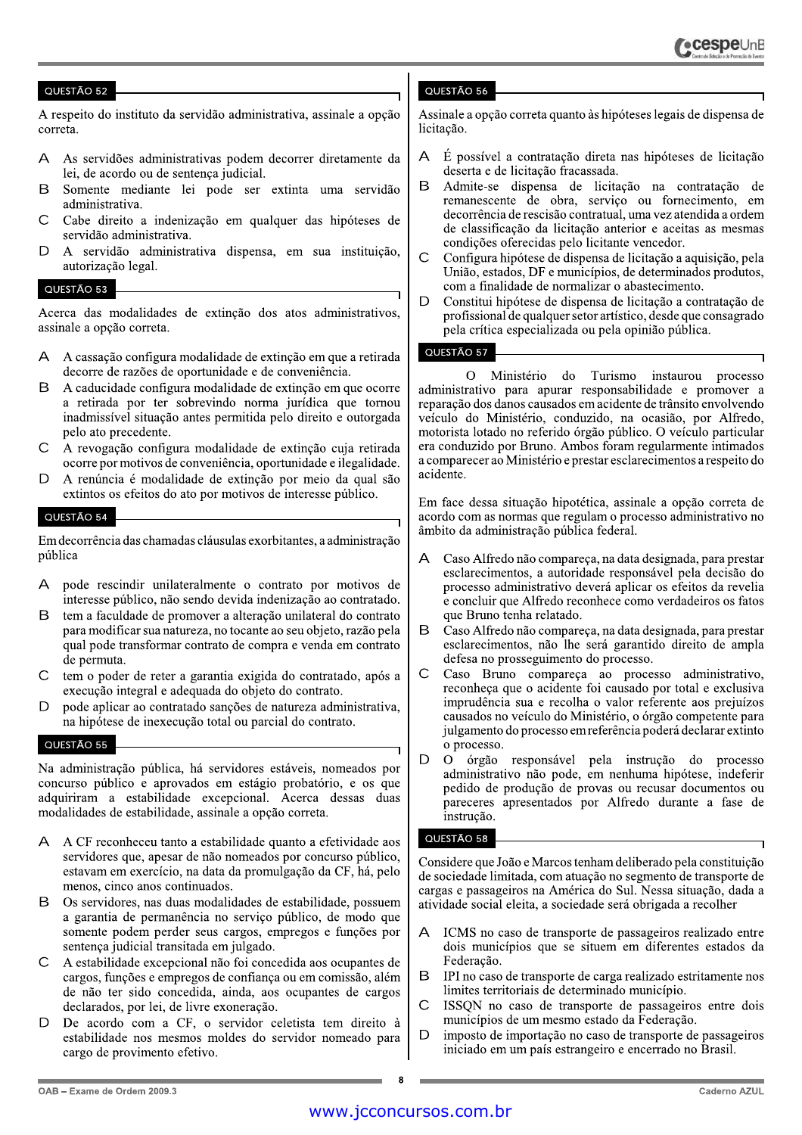A respeito do instituto da servidão administrativa, assinale a opção correta.

- As servidões administrativas podem decorrer diretamente da  $\Delta$ lei, de acordo ou de sentença judicial.
- <sub>B</sub> Somente mediante lei pode ser extinta uma servidão administrativa.
- $\cap$ Cabe direito a indenização em qualquer das hipóteses de servidão administrativa.
- A servidão administrativa dispensa, em sua instituição,  $\Box$ autorização legal.

# QUESTÃO 53

Acerca das modalidades de extinção dos atos administrativos, assinale a opção correta.

- A cassação configura modalidade de extinção em que a retirada  $\Delta$ decorre de razões de oportunidade e de conveniência.
- A caducidade configura modalidade de extinção em que ocorre B a retirada por ter sobrevindo norma jurídica que tornou inadmissível situação antes permitida pelo direito e outorgada pelo ato precedente.
- A revogação configura modalidade de extinção cuja retirada  $\mathsf{C}$ ocorre por motivos de conveniência, oportunidade e ilegalidade.
- $\mathsf{D}$ A renúncia é modalidade de extinção por meio da qual são extintos os efeitos do ato por motivos de interesse público.

#### QUESTÃO 54

Em decorrência das chamadas cláusulas exorbitantes, a administração pública

- $\Delta$ pode rescindir unilateralmente o contrato por motivos de interesse público, não sendo devida indenização ao contratado.
- <sub>R</sub> tem a faculdade de promover a alteração unilateral do contrato para modificar sua natureza, no tocante ao seu objeto, razão pela qual pode transformar contrato de compra e venda em contrato de permuta.
- $\subset$ tem o poder de reter a garantia exigida do contratado, após a execução integral e adequada do objeto do contrato.
- $\mathsf{D}$ pode aplicar ao contratado sanções de natureza administrativa, na hipótese de inexecução total ou parcial do contrato.

#### QUESTÃO 55

Na administração pública, há servidores estáveis, nomeados por concurso público e aprovados em estágio probatório, e os que adquiriram a estabilidade excepcional. Acerca dessas duas modalidades de estabilidade, assinale a opção correta.

- $\Delta$ A CF reconheceu tanto a estabilidade quanto a efetividade aos servidores que, apesar de não nomeados por concurso público, estavam em exercício, na data da promulgação da CF, há, pelo menos, cinco anos continuados.
- Os servidores, nas duas modalidades de estabilidade, possuem  $\mathsf{R}$ a garantia de permanência no serviço público, de modo que somente podem perder seus cargos, empregos e funções por sentença judicial transitada em julgado.
- A estabilidade excepcional não foi concedida aos ocupantes de  $\subset$ cargos, funções e empregos de confiança ou em comissão, além de não ter sido concedida, ainda, aos ocupantes de cargos declarados, por lei, de livre exoneração.
- $\mathsf{D}$ De acordo com a CF, o servidor celetista tem direito à estabilidade nos mesmos moldes do servidor nomeado para cargo de provimento efetivo.

# QUESTÃO 56

Assinale a opção correta quanto às hipóteses legais de dispensa de licitação.

- $\Delta$ É possível a contratação direta nas hipóteses de licitação deserta e de licitação fracassada.
- <sub>R</sub> Admite-se dispensa de licitação na contratação de remanescente de obra, serviço ou fornecimento, em decorrência de rescisão contratual, uma vez atendida a ordem de classificação da licitação anterior e aceitas as mesmas condições oferecidas pelo licitante vencedor.
- Ċ Configura hipótese de dispensa de licitação a aquisição, pela União, estados, DF e municípios, de determinados produtos, com a finalidade de normalizar o abastecimento.
- D Constitui hipótese de dispensa de licitação a contratação de profissional de qualquer setor artístico, desde que consagrado pela crítica especializada ou pela opinião pública.

# QUESTÃO 57

O Ministério do Turismo instaurou processo administrativo para apurar responsabilidade e promover a reparação dos danos causados em acidente de trânsito envolvendo veículo do Ministério, conduzido, na ocasião, por Alfredo, motorista lotado no referido órgão público. O veículo particular era conduzido por Bruno. Ambos foram regularmente intimados a comparecer ao Ministério e prestar esclarecimentos a respeito do acidente.

Em face dessa situação hipotética, assinale a opção correta de acordo com as normas que regulam o processo administrativo no âmbito da administração pública federal.

- Caso Alfredo não compareça, na data designada, para prestar А esclarecimentos, a autoridade responsável pela decisão do processo administrativo deverá aplicar os efeitos da revelia e concluir que Alfredo reconhece como verdadeiros os fatos que Bruno tenha relatado.
- B Caso Alfredo não compareça, na data designada, para prestar esclarecimentos, não lhe será garantido direito de ampla defesa no prosseguimento do processo.
- $\overline{C}$ Caso Bruno compareça ao processo administrativo, reconheça que o acidente foi causado por total e exclusiva imprudência sua e recolha o valor referente aos prejuízos causados no veículo do Ministério, o órgão competente para julgamento do processo em referência poderá declarar extinto o processo.
- D  $\overline{O}$ órgão responsável pela instrução do processo administrativo não pode, em nenhuma hipótese, indeferir pedido de produção de provas ou recusar documentos ou pareceres apresentados por Alfredo durante a fase de instrução.

# QUESTÃO 58

Considere que João e Marcos tenham deliberado pela constituição de sociedade limitada, com atuação no segmento de transporte de cargas e passageiros na América do Sul. Nessa situação, dada a atividade social eleita, a sociedade será obrigada a recolher

- ICMS no caso de transporte de passageiros realizado entre  $\Delta$ dois municípios que se situem em diferentes estados da Federação.
- B IPI no caso de transporte de carga realizado estritamente nos limites territoriais de determinado município.
- $\overline{C}$ ISSON no caso de transporte de passageiros entre dois municípios de um mesmo estado da Federação.
- D imposto de importação no caso de transporte de passageiros iniciado em um país estrangeiro e encerrado no Brasil.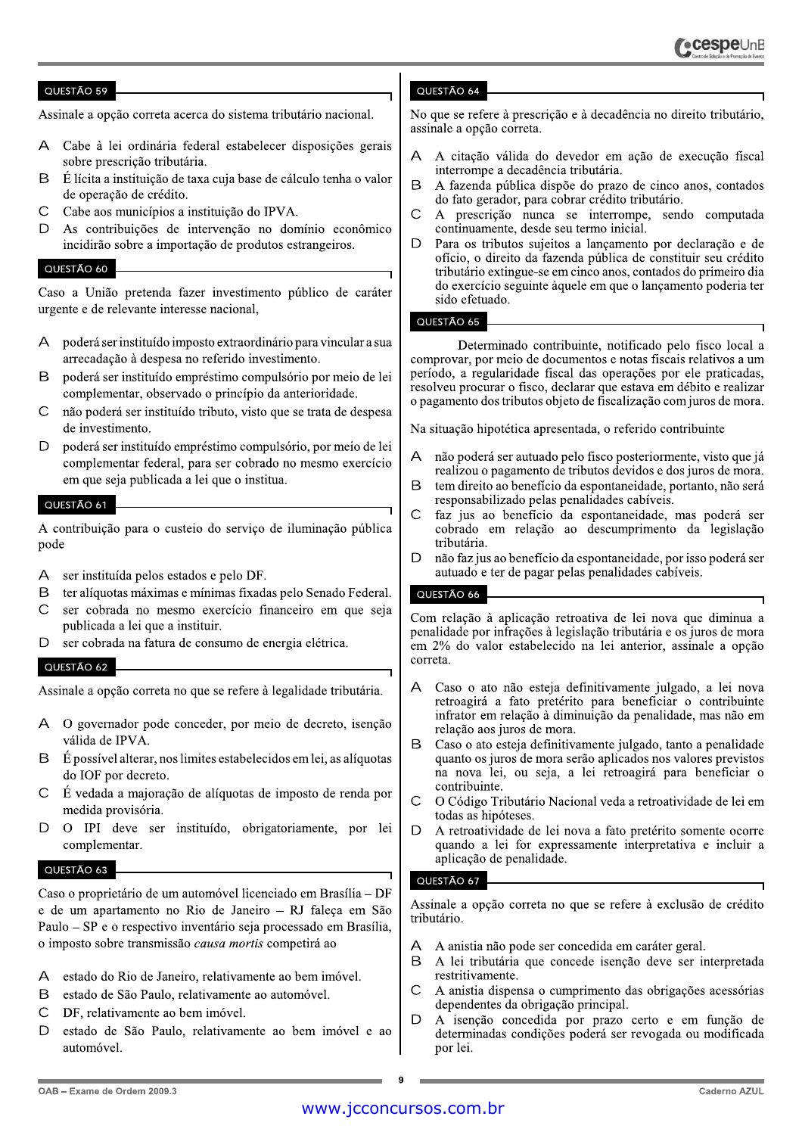Assinale a opção correta acerca do sistema tributário nacional.

- Cabe à lei ordinária federal estabelecer disposições gerais sobre prescrição tributária.
- B É lícita a instituição de taxa cuja base de cálculo tenha o valor de operação de crédito.
- $\bigcap$ Cabe aos municípios a instituição do IPVA.
- As contribuições de intervenção no domínio econômico  $\Box$ incidirão sobre a importação de produtos estrangeiros.

# QUESTÃO 60

Caso a União pretenda fazer investimento público de caráter urgente e de relevante interesse nacional,

- A poderá ser instituído imposto extraordinário para vincular a sua arrecadação à despesa no referido investimento.
- poderá ser instituído empréstimo compulsório por meio de lei <sub>R</sub> complementar, observado o princípio da anterioridade.
- não poderá ser instituído tributo, visto que se trata de despesa  $\mathsf{C}$ de investimento.
- D poderá ser instituído empréstimo compulsório, por meio de lei complementar federal, para ser cobrado no mesmo exercício em que seja publicada a lei que o institua.

# QUESTÃO 61

A contribuição para o custeio do serviço de iluminação pública pode

- $\Delta$ ser instituída pelos estados e pelo DF.
- B ter alíquotas máximas e mínimas fixadas pelo Senado Federal.
- $\mathsf{C}$ ser cobrada no mesmo exercício financeiro em que seja publicada a lei que a instituir.
- $\mathsf{D}$ ser cobrada na fatura de consumo de energia elétrica.

# QUESTÃO 62

Assinale a opção correta no que se refere à legalidade tributária.

- O governador pode conceder, por meio de decreto, isenção  $\Delta$ válida de IPVA.
- $\mathsf B$ É possível alterar, nos limites estabelecidos em lei, as alíquotas do IOF por decreto.
- $\mathsf{C}$ É vedada a majoração de alíquotas de imposto de renda por medida provisória.
- D O IPI deve ser instituído, obrigatoriamente, por lei complementar.

# QUESTÃO 63

Caso o proprietário de um automóvel licenciado em Brasília – DF e de um apartamento no Rio de Janeiro - RJ faleça em São Paulo – SP e o respectivo inventário seja processado em Brasília, o imposto sobre transmissão causa mortis competirá ao

- estado do Rio de Janeiro, relativamente ao bem imóvel.  $\mathsf{A}$
- $\mathsf B$ estado de São Paulo, relativamente ao automóvel.
- $\overline{C}$ DF, relativamente ao bem imóvel.
- $\Box$ estado de São Paulo, relativamente ao bem imóvel e ao automóvel.

# QUESTÃO 64

No que se refere à prescrição e à decadência no direito tributário. assinale a opção correta.

- $\overline{A}$ A citação válida do devedor em ação de execução fiscal interrompe a decadência tributária.
- B A fazenda pública dispõe do prazo de cinco anos, contados do fato gerador, para cobrar crédito tributário.
- $\mathsf{C}$ A prescrição nunca se interrompe, sendo computada continuamente, desde seu termo inicial.
- $\overline{D}$ Para os tributos sujeitos a lançamento por declaração e de ofício, o direito da fazenda pública de constituir seu crédito tributário extingue-se em cinco anos, contados do primeiro dia do exercício seguinte àquele em que o lançamento poderia ter sido efetuado.

#### QUESTÃO 65

Determinado contribuinte, notificado pelo fisco local a comprovar, por meio de documentos e notas fiscais relativos a um período, a regularidade fiscal das operações por ele praticadas, resolveu procurar o fisco, declarar que estava em débito e realizar o pagamento dos tributos objeto de fiscalização com juros de mora.

Na situação hipotética apresentada, o referido contribuinte

- $\overline{A}$ não poderá ser autuado pelo fisco posteriormente, visto que já realizou o pagamento de tributos devidos e dos juros de mora.
- tem direito ao benefício da espontaneidade, portanto, não será <sub>B</sub> responsabilizado pelas penalidades cabíveis.
- $\overline{C}$ faz jus ao benefício da espontaneidade, mas poderá ser cobrado em relação ao descumprimento da legislação tributária.
- $\mathsf{D}$ não faz jus ao benefício da espontaneidade, por isso poderá ser autuado e ter de pagar pelas penalidades cabíveis.

# QUESTÃO 66

Com relação à aplicação retroativa de lei nova que diminua a penalidade por infrações à legislação tributária e os juros de mora em 2% do valor estabelecido na lei anterior, assinale a opção correta.

- Caso o ato não esteja definitivamente julgado, a lei nova A retroagirá a fato pretérito para beneficiar o contribuinte infrator em relação à diminuição da penalidade, mas não em relação aos juros de mora.
- B Caso o ato esteja definitivamente julgado, tanto a penalidade quanto os juros de mora serão aplicados nos valores previstos na nova lei, ou seja, a lei retroagirá para beneficiar o contribuinte.
- O Código Tributário Nacional veda a retroatividade de lei em  $\mathsf{C}$ todas as hipóteses.
- A retroatividade de lei nova a fato pretérito somente ocorre D quando a lei for expressamente interpretativa e incluir a aplicação de penalidade.

# QUESTÃO 67

Assinale a opção correta no que se refere à exclusão de crédito tributário.

- A anistia não pode ser concedida em caráter geral.  $\Delta$
- B A lei tributária que concede isenção deve ser interpretada restritivamente.
- $\mathsf{C}$ A anistia dispensa o cumprimento das obrigações acessórias dependentes da obrigação principal.
- D A isenção concedida por prazo certo e em função de determinadas condições poderá ser revogada ou modificada por lei.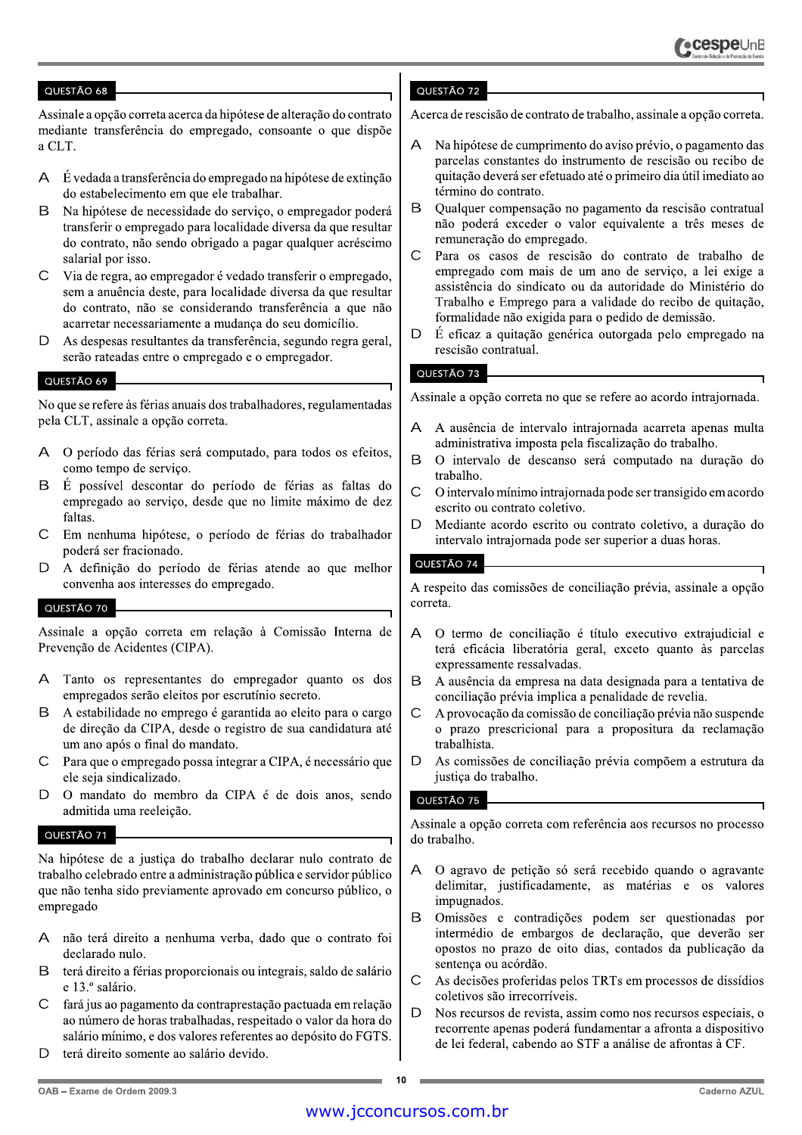Assinale a opção correta acerca da hipótese de alteração do contrato mediante transferência do empregado, consoante o que dispõe a CLT.

- A É vedada a transferência do empregado na hipótese de extinção do estabelecimento em que ele trabalhar.
- <sub>R</sub> Na hipótese de necessidade do serviço, o empregador poderá transferir o empregado para localidade diversa da que resultar do contrato, não sendo obrigado a pagar qualquer acréscimo salarial por isso.
- $\mathcal{C}$ Via de regra, ao empregador é vedado transferir o empregado, sem a anuência deste, para localidade diversa da que resultar do contrato, não se considerando transferência a que não acarretar necessariamente a mudança do seu domicílio.
- As despesas resultantes da transferência, segundo regra geral, D serão rateadas entre o empregado e o empregador.

#### QUESTÃO 69

No que se refere às férias anuais dos trabalhadores, regulamentadas pela CLT, assinale a opção correta.

- O período das férias será computado, para todos os efeitos,  $\mathsf{A}$ como tempo de serviço.
- É possível descontar do período de férias as faltas do  $\mathsf{R}$ empregado ao serviço, desde que no limite máximo de dez faltas
- $\subset$ Em nenhuma hipótese, o período de férias do trabalhador poderá ser fracionado.
- D A definição do período de férias atende ao que melhor convenha aos interesses do empregado.

#### QUESTÃO 70

Assinale a opção correta em relação à Comissão Interna de Prevenção de Acidentes (CIPA).

- Tanto os representantes do empregador quanto os dos  $\Delta$ empregados serão eleitos por escrutínio secreto.
- B A estabilidade no emprego é garantida ao eleito para o cargo de direção da CIPA, desde o registro de sua candidatura até um ano após o final do mandato.
- Para que o empregado possa integrar a CIPA, é necessário que  $\mathsf{C}$ ele seja sindicalizado.
- $\overline{D}$ O mandato do membro da CIPA é de dois anos, sendo admitida uma reeleição.

#### QUESTÃO 71

Na hipótese de a justiça do trabalho declarar nulo contrato de trabalho celebrado entre a administração pública e servidor público que não tenha sido previamente aprovado em concurso público, o empregado

- não terá direito a nenhuma verba, dado que o contrato foi  $\mathsf{A}^$ declarado nulo.
- terá direito a férias proporcionais ou integrais, saldo de salário  $\mathsf{R}$ e 13.º salário.
- fará jus ao pagamento da contraprestação pactuada em relação  $\mathsf{C}$ ao número de horas trabalhadas, respeitado o valor da hora do salário mínimo, e dos valores referentes ao depósito do FGTS.
- $\Box$ terá direito somente ao salário devido.

# QUESTÃO 72

Acerca de rescisão de contrato de trabalho, assinale a opção correta.

- Na hipótese de cumprimento do aviso prévio, o pagamento das parcelas constantes do instrumento de rescisão ou recibo de quitação deverá ser efetuado até o primeiro dia útil imediato ao término do contrato.
- B Qualquer compensação no pagamento da rescisão contratual não poderá exceder o valor equivalente a três meses de remuneração do empregado.
- $\mathcal{C}$ Para os casos de rescisão do contrato de trabalho de empregado com mais de um ano de serviço, a lei exige a assistência do sindicato ou da autoridade do Ministério do Trabalho e Emprego para a validade do recibo de quitação, formalidade não exigida para o pedido de demissão.
- D É eficaz a quitação genérica outorgada pelo empregado na rescisão contratual.

#### QUESTÃO 73

Assinale a opção correta no que se refere ao acordo intrajornada.

- A ausência de intervalo intrajornada acarreta apenas multa administrativa imposta pela fiscalização do trabalho.
- <sub>B</sub> O intervalo de descanso será computado na duração do trabalho.
- $\mathcal{C}$ O intervalo mínimo intrajornada pode ser transigido em acordo escrito ou contrato coletivo.
- $\overline{D}$ Mediante acordo escrito ou contrato coletivo, a duração do intervalo intrajornada pode ser superior a duas horas.

#### QUESTÃO 74

A respeito das comissões de conciliação prévia, assinale a opção correta.

- O termo de conciliação é título executivo extrajudicial e  $\overline{A}$ terá eficácia liberatória geral, exceto quanto às parcelas expressamente ressalvadas.
- B A ausência da empresa na data designada para a tentativa de conciliação prévia implica a penalidade de revelia.
- $\mathsf{C}$ A provocação da comissão de conciliação prévia não suspende o prazo prescricional para a propositura da reclamação trabalhista.
- $\overline{D}$ As comissões de conciliação prévia compõem a estrutura da justica do trabalho.

# QUESTÃO 75

Assinale a opção correta com referência aos recursos no processo do trabalho.

- A O agravo de petição só será recebido quando o agravante delimitar, justificadamente, as matérias e os valores impugnados.
- B Omissões e contradições podem ser questionadas por intermédio de embargos de declaração, que deverão ser opostos no prazo de oito dias, contados da publicação da sentença ou acórdão.
- $\overline{C}$ As decisões proferidas pelos TRTs em processos de dissídios coletivos são irrecorríveis.
- $\overline{D}$ Nos recursos de revista, assim como nos recursos especiais, o recorrente apenas poderá fundamentar a afronta a dispositivo de lei federal, cabendo ao STF a análise de afrontas à CF.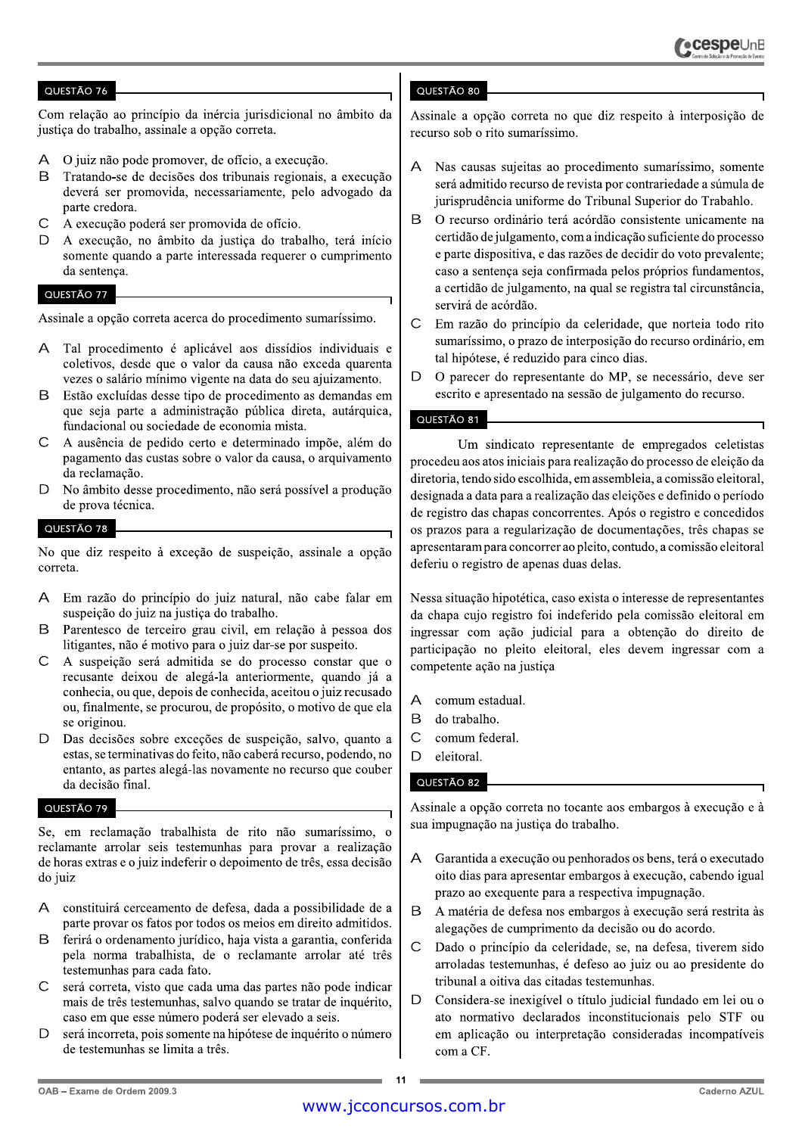Com relação ao princípio da inércia jurisdicional no âmbito da justiça do trabalho, assinale a opção correta.

- O juiz não pode promover, de ofício, a execução.  $\Delta$
- <sub>R</sub> Tratando-se de decisões dos tribunais regionais, a execução deverá ser promovida, necessariamente, pelo advogado da parte credora.
- $\overline{C}$ A execução poderá ser promovida de ofício.
- $\Box$ A execução, no âmbito da justiça do trabalho, terá início somente quando a parte interessada requerer o cumprimento da sentença.

#### QUESTÃO 77

Assinale a opção correta acerca do procedimento sumaríssimo.

- A Tal procedimento é aplicável aos dissídios individuais e coletivos, desde que o valor da causa não exceda quarenta vezes o salário mínimo vigente na data do seu ajuizamento.
- Estão excluídas desse tipo de procedimento as demandas em  $\mathsf{R}$ que seja parte a administração pública direta, autárquica, fundacional ou sociedade de economia mista.
- $\mathsf{C}$ A ausência de pedido certo e determinado impõe, além do pagamento das custas sobre o valor da causa, o arquivamento da reclamação.
- D No âmbito desse procedimento, não será possível a produção de prova técnica.

#### QUESTÃO 78

No que diz respeito à exceção de suspeição, assinale a opção correta.

- A Em razão do princípio do juiz natural, não cabe falar em suspeição do juiz na justiça do trabalho.
- Parentesco de terceiro grau civil, em relação à pessoa dos B. litigantes, não é motivo para o juiz dar-se por suspeito.
- $\mathsf{C}$ A suspeição será admitida se do processo constar que o recusante deixou de alegá-la anteriormente, quando já a conhecia, ou que, depois de conhecida, aceitou o juiz recusado ou, finalmente, se procurou, de propósito, o motivo de que ela se originou.
- D Das decisões sobre exceções de suspeição, salvo, quanto a estas, se terminativas do feito, não caberá recurso, podendo, no entanto, as partes alegá-las novamente no recurso que couber da decisão final.

# QUESTÃO 79

Se, em reclamação trabalhista de rito não sumaríssimo, o reclamante arrolar seis testemunhas para provar a realização de horas extras e o juiz indeferir o depoimento de três, essa decisão do juiz

- constituirá cerceamento de defesa, dada a possibilidade de a  $\mathsf{A}$ parte provar os fatos por todos os meios em direito admitidos.
- B. ferirá o ordenamento jurídico, haja vista a garantia, conferida pela norma trabalhista, de o reclamante arrolar até três testemunhas para cada fato.
- $\mathcal{C}$ será correta, visto que cada uma das partes não pode indicar mais de três testemunhas, salvo quando se tratar de inquérito, caso em que esse número poderá ser elevado a seis.
- D será incorreta, pois somente na hipótese de inquérito o número de testemunhas se limita a três.

# QUESTÃO 80

Assinale a opção correta no que diz respeito à interposição de recurso sob o rito sumaríssimo.

- $\mathsf{A}$ Nas causas sujeitas ao procedimento sumaríssimo, somente será admitido recurso de revista por contrariedade a súmula de jurisprudência uniforme do Tribunal Superior do Trabahlo.
- B. O recurso ordinário terá acórdão consistente unicamente na certidão de julgamento, com a indicação suficiente do processo e parte dispositiva, e das razões de decidir do voto prevalente; caso a sentença seja confirmada pelos próprios fundamentos, a certidão de julgamento, na qual se registra tal circunstância, servirá de acórdão.
- $\overline{C}$ Em razão do princípio da celeridade, que norteia todo rito sumaríssimo, o prazo de interposição do recurso ordinário, em tal hipótese, é reduzido para cinco dias.
- D O parecer do representante do MP, se necessário, deve ser escrito e apresentado na sessão de julgamento do recurso.

# QUESTÃO 81

Um sindicato representante de empregados celetistas procedeu aos atos iniciais para realização do processo de eleição da diretoria, tendo sido escolhida, em assembleia, a comissão eleitoral, designada a data para a realização das eleições e definido o período de registro das chapas concorrentes. Após o registro e concedidos os prazos para a regularização de documentações, três chapas se apresentaram para concorrer ao pleito, contudo, a comissão eleitoral deferiu o registro de apenas duas delas.

Nessa situação hipotética, caso exista o interesse de representantes da chapa cujo registro foi indeferido pela comissão eleitoral em ingressar com ação judicial para a obtenção do direito de participação no pleito eleitoral, eles devem ingressar com a competente ação na justiça

- comum estadual.  $\overline{A}$
- <sub>B</sub> do trabalho.
- $\mathsf{C}$ comum federal.
- D eleitoral.

# QUESTÃO 82

Assinale a opção correta no tocante aos embargos à execução e à sua impugnação na justiça do trabalho.

- Garantida a execução ou penhorados os bens, terá o executado  $\mathsf{A}$ oito dias para apresentar embargos à execução, cabendo igual prazo ao exequente para a respectiva impugnação.
- B A matéria de defesa nos embargos à execução será restrita às alegações de cumprimento da decisão ou do acordo.
- $\mathsf{C}$ Dado o princípio da celeridade, se, na defesa, tiverem sido arroladas testemunhas, é defeso ao juiz ou ao presidente do tribunal a oitiva das citadas testemunhas.
- D Considera-se inexigível o título judicial fundado em lei ou o ato normativo declarados inconstitucionais pelo STF ou em aplicação ou interpretação consideradas incompatíveis com a CF.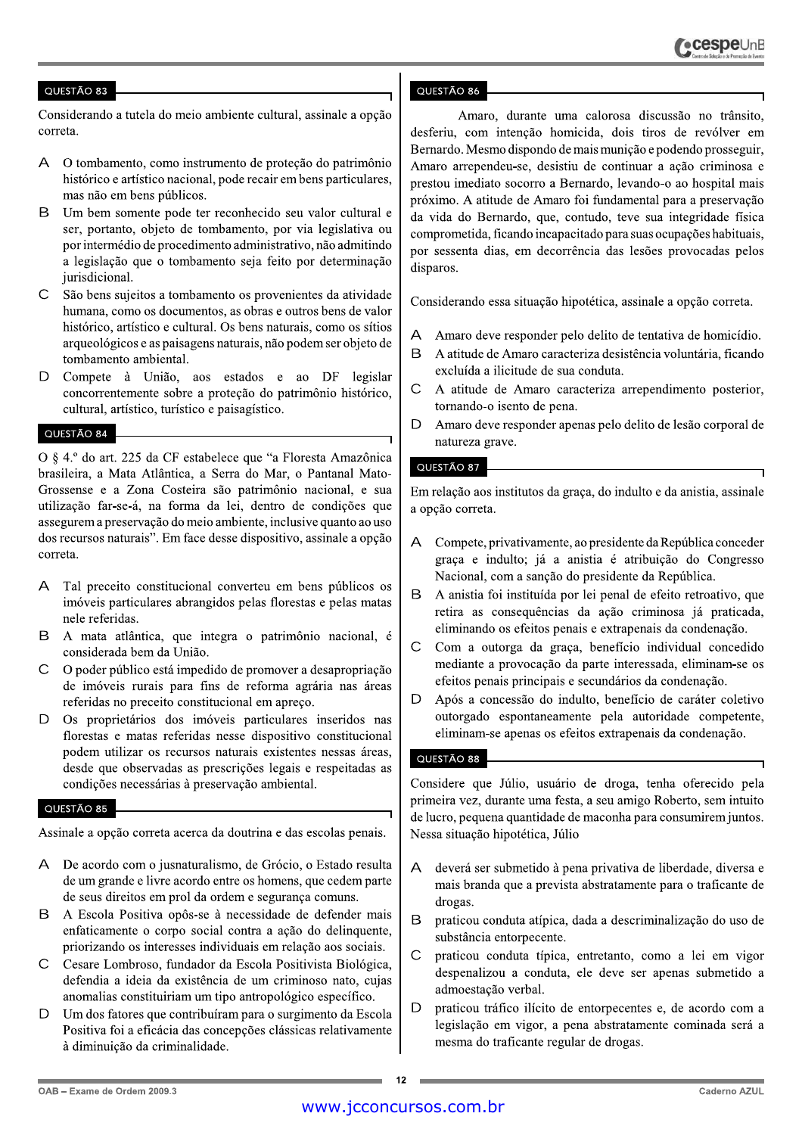Considerando a tutela do meio ambiente cultural, assinale a opção correta.

- O tombamento, como instrumento de proteção do patrimônio  $\Delta$ histórico e artístico nacional, pode recair em bens particulares, mas não em bens públicos.
- B Um bem somente pode ter reconhecido seu valor cultural e ser, portanto, objeto de tombamento, por via legislativa ou por intermédio de procedimento administrativo, não admitindo a legislação que o tombamento seja feito por determinação jurisdicional.
- $\mathsf{C}$ São bens sujeitos a tombamento os provenientes da atividade humana, como os documentos, as obras e outros bens de valor histórico, artístico e cultural. Os bens naturais, como os sítios arqueológicos e as paisagens naturais, não podem ser objeto de tombamento ambiental.
- D Compete à União, aos estados e ao DF legislar concorrentemente sobre a proteção do patrimônio histórico, cultural, artístico, turístico e paisagístico.

### QUESTÃO 84

O § 4.º do art. 225 da CF estabelece que "a Floresta Amazônica brasileira, a Mata Atlântica, a Serra do Mar, o Pantanal Mato-Grossense e a Zona Costeira são patrimônio nacional, e sua utilização far-se-á, na forma da lei, dentro de condições que assegurem a preservação do meio ambiente, inclusive quanto ao uso dos recursos naturais". Em face desse dispositivo, assinale a opção correta.

- Tal preceito constitucional converteu em bens públicos os А imóveis particulares abrangidos pelas florestas e pelas matas nele referidas.
- $\mathsf{R}$ A mata atlântica, que integra o patrimônio nacional, é considerada bem da União.
- $\overline{C}$ O poder público está impedido de promover a desapropriação de imóveis rurais para fins de reforma agrária nas áreas referidas no preceito constitucional em apreco.
- Os proprietários dos imóveis particulares inseridos nas  $\Box$ florestas e matas referidas nesse dispositivo constitucional podem utilizar os recursos naturais existentes nessas áreas, desde que observadas as prescrições legais e respeitadas as condições necessárias à preservação ambiental.

# QUESTÃO 85

Assinale a opção correta acerca da doutrina e das escolas penais.

- A De acordo com o jusnaturalismo, de Grócio, o Estado resulta de um grande e livre acordo entre os homens, que cedem parte de seus direitos em prol da ordem e segurança comuns.
- B A Escola Positiva opôs-se à necessidade de defender mais enfaticamente o corpo social contra a ação do delinquente, priorizando os interesses individuais em relação aos sociais.
- Cesare Lombroso, fundador da Escola Positivista Biológica,  $\mathsf{C}$ defendia a ideia da existência de um criminoso nato, cujas anomalias constituiriam um tipo antropológico específico.
- $\mathsf{D}$ Um dos fatores que contribuíram para o surgimento da Escola Positiva foi a eficácia das concepções clássicas relativamente à diminuição da criminalidade.

# QUESTÃO 86

Amaro, durante uma calorosa discussão no trânsito, desferiu, com intenção homicida, dois tiros de revólver em Bernardo. Mesmo dispondo de mais munição e podendo prosseguir, Amaro arrependeu-se, desistiu de continuar a ação criminosa e prestou imediato socorro a Bernardo, levando-o ao hospital mais próximo. A atitude de Amaro foi fundamental para a preservação da vida do Bernardo, que, contudo, teve sua integridade física comprometida, ficando incapacitado para suas ocupações habituais, por sessenta dias, em decorrência das lesões provocadas pelos disparos.

Considerando essa situação hipotética, assinale a opção correta.

- $\overline{A}$ Amaro deve responder pelo delito de tentativa de homicídio.
- $\overline{B}$ A atitude de Amaro caracteriza desistência voluntária, ficando excluída a ilicitude de sua conduta.
- $\mathsf{C}$ A atitude de Amaro caracteriza arrependimento posterior, tornando-o isento de pena.
- $\overline{D}$ Amaro deve responder apenas pelo delito de lesão corporal de natureza grave.

# QUESTÃO 87

Em relação aos institutos da graça, do indulto e da anistia, assinale a opção correta.

- Compete, privativamente, ao presidente da República conceder  $\Delta$ graça e indulto; já a anistia é atribuição do Congresso Nacional, com a sanção do presidente da República.
- $\mathsf B$ A anistia foi instituída por lei penal de efeito retroativo, que retira as consequências da ação criminosa já praticada, eliminando os efeitos penais e extrapenais da condenação.
- $\overline{C}$ Com a outorga da graça, benefício individual concedido mediante a provocação da parte interessada, eliminam-se os efeitos penais principais e secundários da condenação.
- D Após a concessão do indulto, benefício de caráter coletivo outorgado espontaneamente pela autoridade competente, eliminam-se apenas os efeitos extrapenais da condenação.

# QUESTÃO 88

Considere que Júlio, usuário de droga, tenha oferecido pela primeira vez, durante uma festa, a seu amigo Roberto, sem intuito de lucro, pequena quantidade de maconha para consumirem juntos. Nessa situação hipotética, Júlio

- deverá ser submetido à pena privativa de liberdade, diversa e  $\overline{A}$ mais branda que a prevista abstratamente para o traficante de drogas.
- B praticou conduta atípica, dada a descriminalização do uso de substância entorpecente.
- $\overline{C}$ praticou conduta típica, entretanto, como a lei em vigor despenalizou a conduta, ele deve ser apenas submetido a admoestação verbal.
- D praticou tráfico ilícito de entorpecentes e, de acordo com a legislação em vigor, a pena abstratamente cominada será a mesma do traficante regular de drogas.

 $12$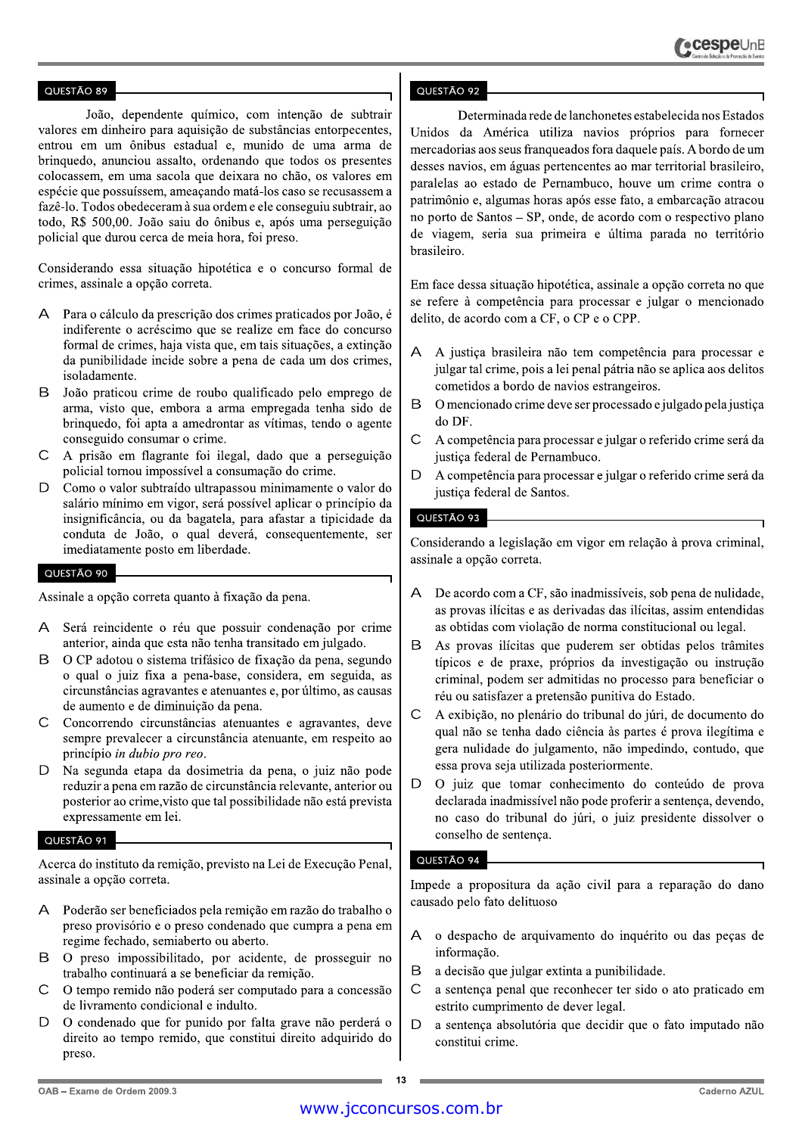João, dependente químico, com intenção de subtrair valores em dinheiro para aquisição de substâncias entorpecentes, entrou em um ônibus estadual e, munido de uma arma de brinquedo, anunciou assalto, ordenando que todos os presentes colocassem, em uma sacola que deixara no chão, os valores em espécie que possuíssem, ameaçando matá-los caso se recusassem a fazê-lo. Todos obedeceram à sua ordem e ele conseguiu subtrair, ao todo, R\$ 500,00. João saiu do ônibus e, após uma perseguição policial que durou cerca de meia hora, foi preso.

Considerando essa situação hipotética e o concurso formal de crimes, assinale a opção correta.

- Para o cálculo da prescrição dos crimes praticados por João, é A indiferente o acréscimo que se realize em face do concurso formal de crimes, haja vista que, em tais situações, a extinção da punibilidade incide sobre a pena de cada um dos crimes, isoladamente.
- B João praticou crime de roubo qualificado pelo emprego de arma, visto que, embora a arma empregada tenha sido de bringuedo, foi apta a amedrontar as vítimas, tendo o agente conseguido consumar o crime.
- $\overline{C}$ A prisão em flagrante foi ilegal, dado que a perseguição policial tornou impossível a consumação do crime.
- D Como o valor subtraído ultrapassou minimamente o valor do salário mínimo em vigor, será possível aplicar o princípio da insignificância, ou da bagatela, para afastar a tipicidade da conduta de João, o qual deverá, consequentemente, ser imediatamente posto em liberdade.

# QUESTÃO 90

Assinale a opção correta quanto à fixação da pena.

- A Será reincidente o réu que possuir condenação por crime anterior, ainda que esta não tenha transitado em julgado.
- <sub>R</sub> O CP adotou o sistema trifásico de fixação da pena, segundo o qual o juiz fixa a pena-base, considera, em seguida, as circunstâncias agravantes e atenuantes e, por último, as causas de aumento e de diminuição da pena.
- $\mathcal{C}$ Concorrendo circunstâncias atenuantes e agravantes, deve sempre prevalecer a circunstância atenuante, em respeito ao princípio in dubio pro reo.
- Na segunda etapa da dosimetria da pena, o juiz não pode D reduzir a pena em razão de circunstância relevante, anterior ou posterior ao crime, visto que tal possibilidade não está prevista expressamente em lei.

#### QUESTÃO 91

Acerca do instituto da remição, previsto na Lei de Execução Penal, assinale a opção correta.

- A Poderão ser beneficiados pela remição em razão do trabalho o preso provisório e o preso condenado que cumpra a pena em regime fechado, semiaberto ou aberto.
- <sub>B</sub> O preso impossibilitado, por acidente, de prosseguir no trabalho continuará a se beneficiar da remição.
- $\overline{C}$ O tempo remido não poderá ser computado para a concessão de livramento condicional e indulto.
- D O condenado que for punido por falta grave não perderá o direito ao tempo remido, que constitui direito adquirido do preso.

### QUESTÃO 92

Determinada rede de lanchonetes estabelecida nos Estados Unidos da América utiliza navios próprios para fornecer mercadorias aos seus franqueados fora daquele país. A bordo de um desses navios, em águas pertencentes ao mar territorial brasileiro, paralelas ao estado de Pernambuco, houve um crime contra o patrimônio e, algumas horas após esse fato, a embarcação atracou no porto de Santos – SP, onde, de acordo com o respectivo plano de viagem, seria sua primeira e última parada no território brasileiro.

Em face dessa situação hipotética, assinale a opção correta no que se refere à competência para processar e julgar o mencionado delito, de acordo com a CF, o CP e o CPP.

- A justiça brasileira não tem competência para processar e julgar tal crime, pois a lei penal pátria não se aplica aos delitos cometidos a bordo de navios estrangeiros.
- B O mencionado crime deve ser processado e julgado pela justiça do DF.
- $\overline{C}$ A competência para processar e julgar o referido crime será da justiça federal de Pernambuco.
- D A competência para processar e julgar o referido crime será da justiça federal de Santos.

# **QUESTÃO 93**

Considerando a legislação em vigor em relação à prova criminal, assinale a opção correta.

- De acordo com a CF, são inadmissíveis, sob pena de nulidade,  $\triangleright$ as provas ilícitas e as derivadas das ilícitas, assim entendidas as obtidas com violação de norma constitucional ou legal.
- B. As provas ilícitas que puderem ser obtidas pelos trâmites típicos e de praxe, próprios da investigação ou instrução criminal, podem ser admitidas no processo para beneficiar o réu ou satisfazer a pretensão punitiva do Estado.
- A exibição, no plenário do tribunal do júri, de documento do  $\mathsf{C}$ qual não se tenha dado ciência às partes é prova ilegítima e gera nulidade do julgamento, não impedindo, contudo, que essa prova seja utilizada posteriormente.
- $\mathsf{D}$ O juiz que tomar conhecimento do conteúdo de prova declarada inadmissível não pode proferir a sentença, devendo, no caso do tribunal do júri, o juiz presidente dissolver o conselho de sentença.

# QUESTÃO 94

Impede a propositura da ação civil para a reparação do dano causado pelo fato delituoso

- $\overline{A}$ o despacho de arquivamento do inquérito ou das peças de informação.
- B a decisão que julgar extinta a punibilidade.
- $\mathsf{C}$ a sentença penal que reconhecer ter sido o ato praticado em estrito cumprimento de dever legal.
- $\mathsf{D}$ a sentença absolutória que decidir que o fato imputado não constitui crime.

13